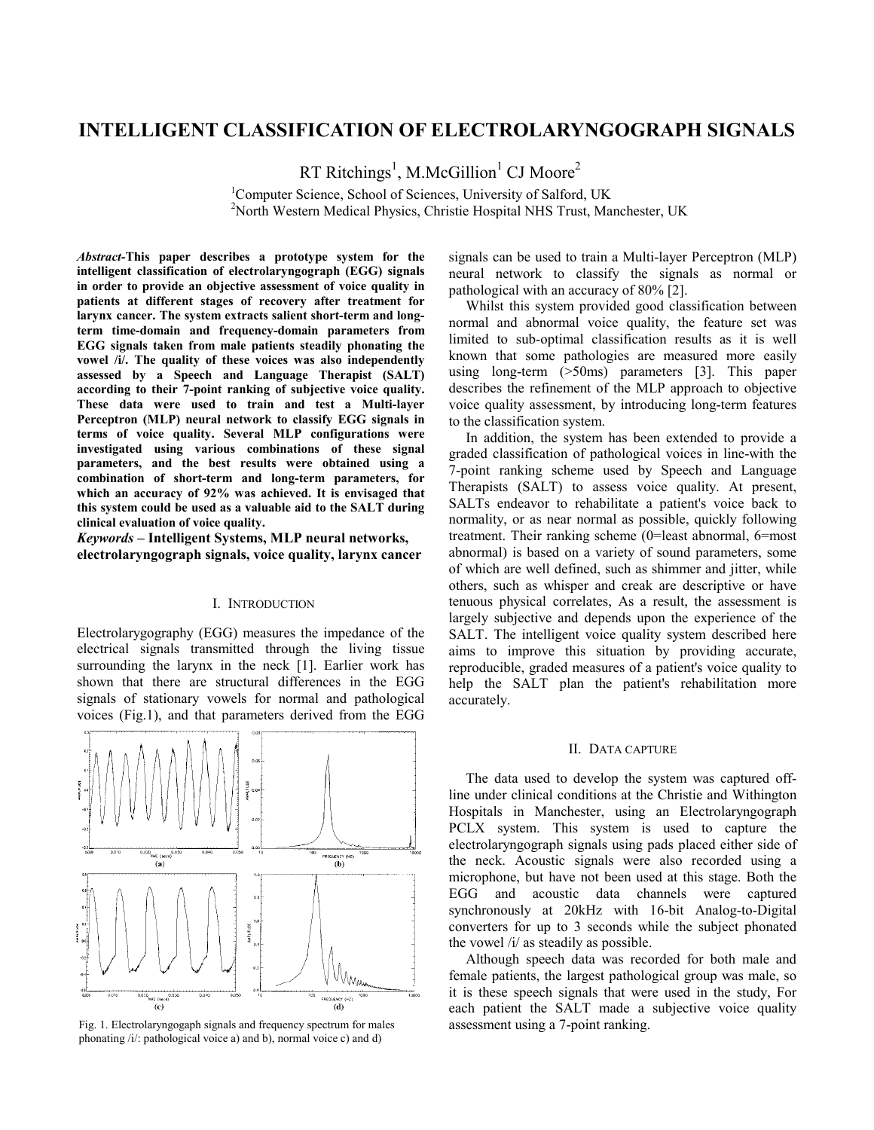# **INTELLIGENT CLASSIFICATION OF ELECTROLARYNGOGRAPH SIGNALS**

RT Ritchings<sup>1</sup>, M.McGillion<sup>1</sup> CJ Moore<sup>2</sup>

<sup>1</sup>Computer Science, School of Sciences, University of Salford, UK<br><sup>2</sup>Nexth Western Medical Physics, Christia Hespital NUS Trust, Ma <sup>2</sup>North Western Medical Physics, Christie Hospital NHS Trust, Manchester, UK

*Abstract-***This paper describes a prototype system for the intelligent classification of electrolaryngograph (EGG) signals in order to provide an objective assessment of voice quality in patients at different stages of recovery after treatment for larynx cancer. The system extracts salient short-term and longterm time-domain and frequency-domain parameters from EGG signals taken from male patients steadily phonating the vowel /i/. The quality of these voices was also independently assessed by a Speech and Language Therapist (SALT) according to their 7-point ranking of subjective voice quality. These data were used to train and test a Multi-layer Perceptron (MLP) neural network to classify EGG signals in terms of voice quality. Several MLP configurations were investigated using various combinations of these signal parameters, and the best results were obtained using a combination of short-term and long-term parameters, for which an accuracy of 92% was achieved. It is envisaged that this system could be used as a valuable aid to the SALT during clinical evaluation of voice quality.**

*Keywords* **– Intelligent Systems, MLP neural networks, electrolaryngograph signals, voice quality, larynx cancer** 

#### I. INTRODUCTION

Electrolarygography (EGG) measures the impedance of the electrical signals transmitted through the living tissue surrounding the larynx in the neck [1]. Earlier work has shown that there are structural differences in the EGG signals of stationary vowels for normal and pathological voices (Fig.1), and that parameters derived from the EGG



Fig. 1. Electrolaryngogaph signals and frequency spectrum for males assessment using a 7-point ranking. phonating /i/: pathological voice a) and b), normal voice c) and d)

signals can be used to train a Multi-layer Perceptron (MLP) neural network to classify the signals as normal or pathological with an accuracy of 80% [2].

Whilst this system provided good classification between normal and abnormal voice quality, the feature set was limited to sub-optimal classification results as it is well known that some pathologies are measured more easily using long-term (>50ms) parameters [3]. This paper describes the refinement of the MLP approach to objective voice quality assessment, by introducing long-term features to the classification system.

In addition, the system has been extended to provide a graded classification of pathological voices in line-with the 7-point ranking scheme used by Speech and Language Therapists (SALT) to assess voice quality. At present, SALTs endeavor to rehabilitate a patient's voice back to normality, or as near normal as possible, quickly following treatment. Their ranking scheme (0=least abnormal, 6=most abnormal) is based on a variety of sound parameters, some of which are well defined, such as shimmer and jitter, while others, such as whisper and creak are descriptive or have tenuous physical correlates, As a result, the assessment is largely subjective and depends upon the experience of the SALT. The intelligent voice quality system described here aims to improve this situation by providing accurate, reproducible, graded measures of a patient's voice quality to help the SALT plan the patient's rehabilitation more accurately.

#### II. DATA CAPTURE

The data used to develop the system was captured offline under clinical conditions at the Christie and Withington Hospitals in Manchester, using an Electrolaryngograph PCLX system. This system is used to capture the electrolaryngograph signals using pads placed either side of the neck. Acoustic signals were also recorded using a microphone, but have not been used at this stage. Both the EGG and acoustic data channels were captured synchronously at 20kHz with 16-bit Analog-to-Digital converters for up to 3 seconds while the subject phonated the vowel /i/ as steadily as possible.

Although speech data was recorded for both male and female patients, the largest pathological group was male, so it is these speech signals that were used in the study, For each patient the SALT made a subjective voice quality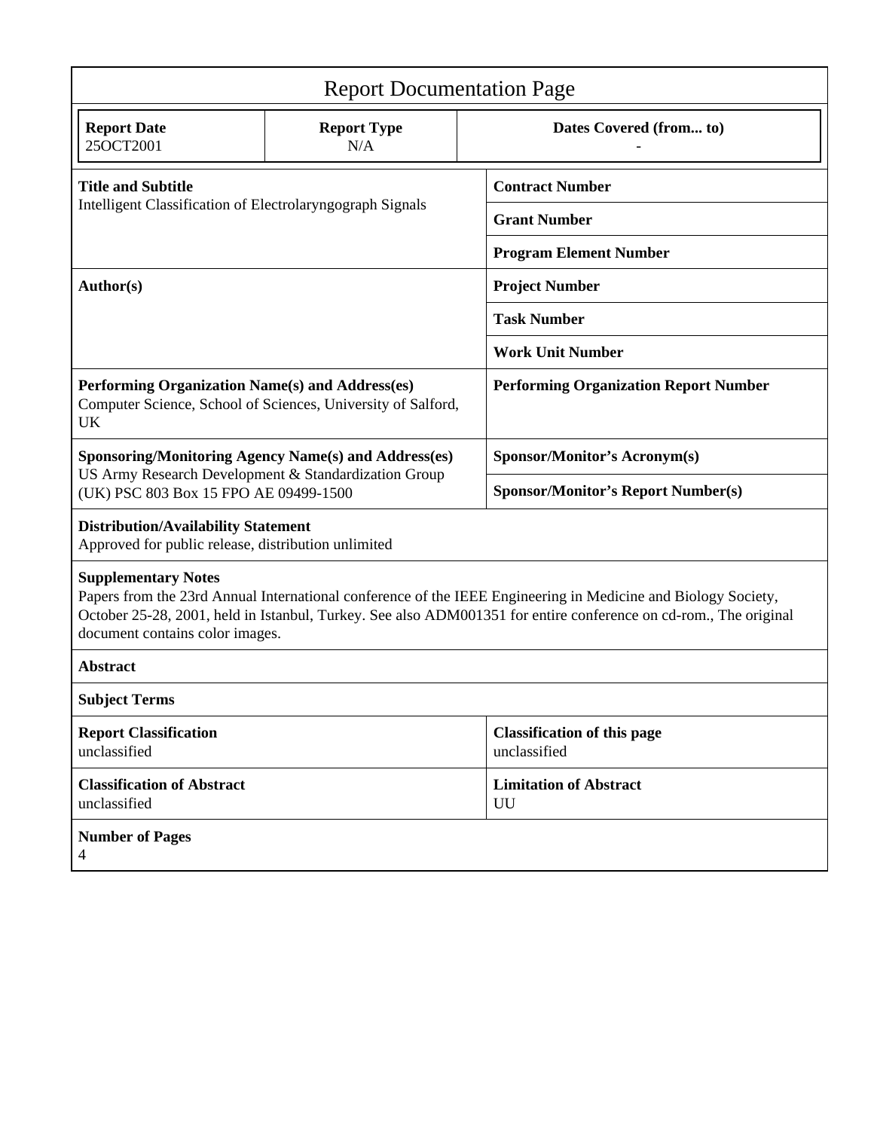| <b>Report Documentation Page</b>                                                                                                                                                                                                                                                                   |                                                              |                                                    |  |  |  |  |  |  |  |
|----------------------------------------------------------------------------------------------------------------------------------------------------------------------------------------------------------------------------------------------------------------------------------------------------|--------------------------------------------------------------|----------------------------------------------------|--|--|--|--|--|--|--|
| <b>Report Date</b><br>25OCT2001                                                                                                                                                                                                                                                                    | <b>Report Type</b><br>N/A                                    | Dates Covered (from to)                            |  |  |  |  |  |  |  |
| <b>Title and Subtitle</b>                                                                                                                                                                                                                                                                          |                                                              | <b>Contract Number</b>                             |  |  |  |  |  |  |  |
| Intelligent Classification of Electrolaryngograph Signals                                                                                                                                                                                                                                          |                                                              | <b>Grant Number</b>                                |  |  |  |  |  |  |  |
|                                                                                                                                                                                                                                                                                                    |                                                              | <b>Program Element Number</b>                      |  |  |  |  |  |  |  |
| Author(s)                                                                                                                                                                                                                                                                                          |                                                              | <b>Project Number</b>                              |  |  |  |  |  |  |  |
|                                                                                                                                                                                                                                                                                                    |                                                              | <b>Task Number</b>                                 |  |  |  |  |  |  |  |
|                                                                                                                                                                                                                                                                                                    |                                                              | <b>Work Unit Number</b>                            |  |  |  |  |  |  |  |
| Performing Organization Name(s) and Address(es)<br>UK                                                                                                                                                                                                                                              | Computer Science, School of Sciences, University of Salford, | <b>Performing Organization Report Number</b>       |  |  |  |  |  |  |  |
|                                                                                                                                                                                                                                                                                                    | <b>Sponsoring/Monitoring Agency Name(s) and Address(es)</b>  | <b>Sponsor/Monitor's Acronym(s)</b>                |  |  |  |  |  |  |  |
| US Army Research Development & Standardization Group<br>(UK) PSC 803 Box 15 FPO AE 09499-1500                                                                                                                                                                                                      |                                                              | <b>Sponsor/Monitor's Report Number(s)</b>          |  |  |  |  |  |  |  |
| <b>Distribution/Availability Statement</b><br>Approved for public release, distribution unlimited                                                                                                                                                                                                  |                                                              |                                                    |  |  |  |  |  |  |  |
| <b>Supplementary Notes</b><br>Papers from the 23rd Annual International conference of the IEEE Engineering in Medicine and Biology Society,<br>October 25-28, 2001, held in Istanbul, Turkey. See also ADM001351 for entire conference on cd-rom., The original<br>document contains color images. |                                                              |                                                    |  |  |  |  |  |  |  |
| <b>Abstract</b>                                                                                                                                                                                                                                                                                    |                                                              |                                                    |  |  |  |  |  |  |  |
| <b>Subject Terms</b>                                                                                                                                                                                                                                                                               |                                                              |                                                    |  |  |  |  |  |  |  |
| <b>Report Classification</b><br>unclassified                                                                                                                                                                                                                                                       |                                                              | <b>Classification of this page</b><br>unclassified |  |  |  |  |  |  |  |
| <b>Classification of Abstract</b><br>unclassified                                                                                                                                                                                                                                                  |                                                              | <b>Limitation of Abstract</b><br>UU                |  |  |  |  |  |  |  |
| <b>Number of Pages</b><br>4                                                                                                                                                                                                                                                                        |                                                              |                                                    |  |  |  |  |  |  |  |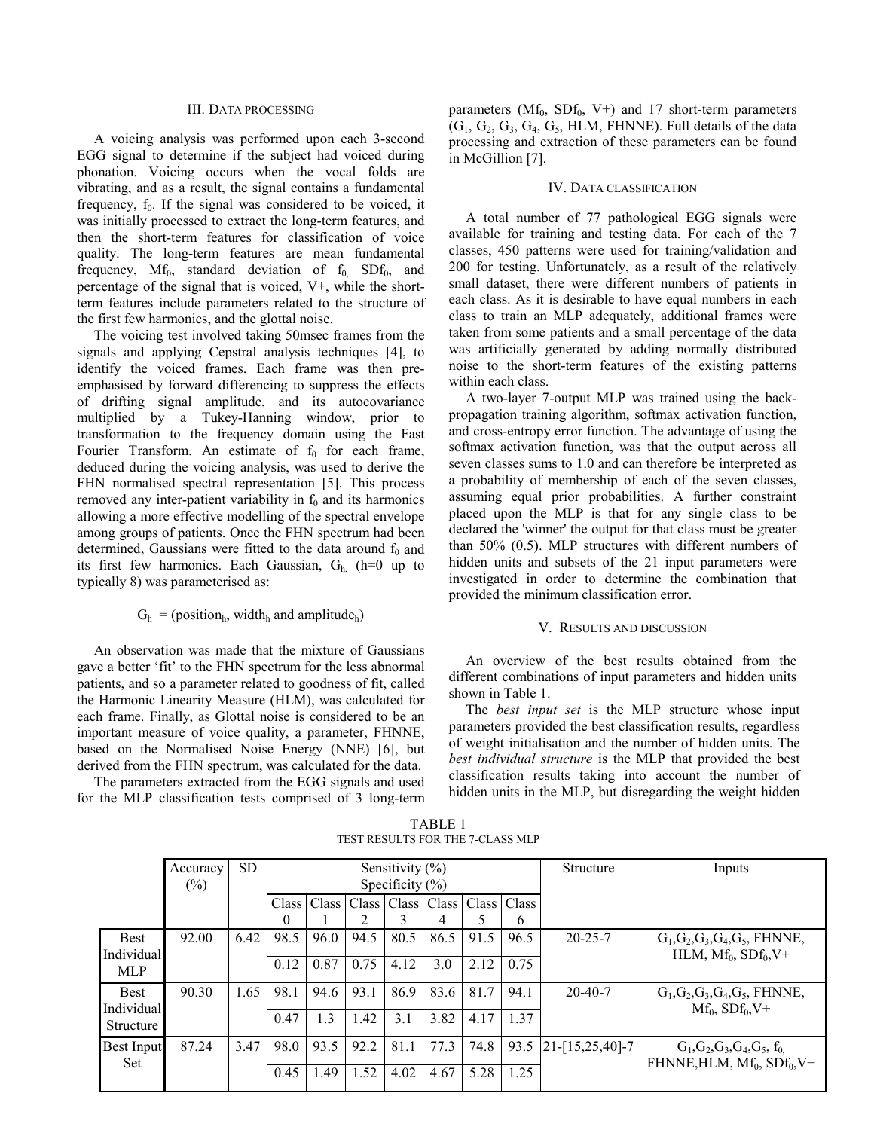### III. DATA PROCESSING

A voicing analysis was performed upon each 3-second EGG signal to determine if the subject had voiced during phonation. Voicing occurs when the vocal folds are vibrating, and as a result, the signal contains a fundamental frequency,  $f_0$ . If the signal was considered to be voiced, it was initially processed to extract the long-term features, and then the short-term features for classification of voice quality. The long-term features are mean fundamental frequency,  $Mf_0$ , standard deviation of  $f_0$ , SDf<sub>0</sub>, and percentage of the signal that is voiced, V+, while the shortterm features include parameters related to the structure of the first few harmonics, and the glottal noise.

The voicing test involved taking 50msec frames from the signals and applying Cepstral analysis techniques [4], to identify the voiced frames. Each frame was then preemphasised by forward differencing to suppress the effects of drifting signal amplitude, and its autocovariance multiplied by a Tukey-Hanning window, prior to transformation to the frequency domain using the Fast Fourier Transform. An estimate of  $f_0$  for each frame, deduced during the voicing analysis, was used to derive the FHN normalised spectral representation [5]. This process removed any inter-patient variability in  $f_0$  and its harmonics allowing a more effective modelling of the spectral envelope among groups of patients. Once the FHN spectrum had been determined, Gaussians were fitted to the data around  $f_0$  and its first few harmonics. Each Gaussian,  $G_h$  (h=0 up to typically 8) was parameterised as:

## $G_h$  = (position<sub>h</sub>, width<sub>h</sub> and amplitude<sub>h</sub>)

An observation was made that the mixture of Gaussians gave a better 'fit' to the FHN spectrum for the less abnormal patients, and so a parameter related to goodness of fit, called the Harmonic Linearity Measure (HLM), was calculated for each frame. Finally, as Glottal noise is considered to be an important measure of voice quality, a parameter, FHNNE, based on the Normalised Noise Energy (NNE) [6], but derived from the FHN spectrum, was calculated for the data.

The parameters extracted from the EGG signals and used for the MLP classification tests comprised of 3 long-term parameters ( $Mf_0$ ,  $SDf_0$ ,  $V^+$ ) and 17 short-term parameters  $(G_1, G_2, G_3, G_4, G_5, HLM, FHNNE)$ . Full details of the data processing and extraction of these parameters can be found in McGillion [7].

#### IV. DATA CLASSIFICATION

A total number of 77 pathological EGG signals were available for training and testing data. For each of the 7 classes, 450 patterns were used for training/validation and 200 for testing. Unfortunately, as a result of the relatively small dataset, there were different numbers of patients in each class. As it is desirable to have equal numbers in each class to train an MLP adequately, additional frames were taken from some patients and a small percentage of the data was artificially generated by adding normally distributed noise to the short-term features of the existing patterns within each class.

A two-layer 7-output MLP was trained using the backpropagation training algorithm, softmax activation function, and cross-entropy error function. The advantage of using the softmax activation function, was that the output across all seven classes sums to 1.0 and can therefore be interpreted as a probability of membership of each of the seven classes, assuming equal prior probabilities. A further constraint placed upon the MLP is that for any single class to be declared the 'winner' the output for that class must be greater than 50% (0.5). MLP structures with different numbers of hidden units and subsets of the 21 input parameters were investigated in order to determine the combination that provided the minimum classification error.

#### V. RESULTS AND DISCUSSION

An overview of the best results obtained from the different combinations of input parameters and hidden units shown in Table 1.

The *best input set* is the MLP structure whose input parameters provided the best classification results, regardless of weight initialisation and the number of hidden units. The *best individual structure* is the MLP that provided the best classification results taking into account the number of hidden units in the MLP, but disregarding the weight hidden

TABLE 1 TEST RESULTS FOR THE 7-CLASS MLP

|                           | Accuracy<br>$(\%)$ | <b>SD</b> | Sensitivity $(\% )$<br>Specificity $(\% )$ |      |      |      |                                                       |      |                         | Structure                      | Inputs                                                              |
|---------------------------|--------------------|-----------|--------------------------------------------|------|------|------|-------------------------------------------------------|------|-------------------------|--------------------------------|---------------------------------------------------------------------|
|                           |                    |           | $\Omega$                                   |      |      |      | Class   Class   Class   Class   Class   Class   Class |      | 6                       |                                |                                                                     |
| <b>Best</b>               | 92.00              | 6.42      | 98.5                                       | 96.0 | 94.5 | 80.5 | 86.5                                                  | 91.5 | 96.5                    | $20 - 25 - 7$                  | $G_1, G_2, G_3, G_4, G_5$ , FHNNE,<br>HLM, $Mf_0$ , $SDf_0$ , $V^+$ |
| Individual<br>MLP         |                    |           | 0.12                                       | 0.87 | 0.75 | 4.12 | 3.0                                                   | 2.12 | 0.75                    |                                |                                                                     |
| <b>Best</b><br>Individual | 90.30              | 1.65      | 98.1                                       | 94.6 | 93.1 | 86.9 | 83.6                                                  | 81.7 | 94.1                    | $20 - 40 - 7$                  | $G_1, G_2, G_3, G_4, G_5$ , FHNNE,<br>$Mf_0$ , $SDf_0$ , $V^+$      |
| Structure                 |                    |           | 0.47                                       | 1.3  | 1.42 | 3.1  | 3.82                                                  | 4.17 | 1.37                    |                                |                                                                     |
| <b>Best Input</b><br>Set  | 87.24<br>3.47      | 98.0      | 93.5                                       | 92.2 | 81.1 | 77.3 | 74.8                                                  |      | $93.5$  21-[15,25,40]-7 | $G_1, G_2, G_3, G_4, G_5, f_0$ |                                                                     |
|                           |                    |           | 0.45                                       | .49  | 1.52 | 4.02 | 4.67                                                  | 5.28 | 1.25                    |                                | FHNNE, HLM, $Mf_0$ , $SDf_0$ , $V^+$                                |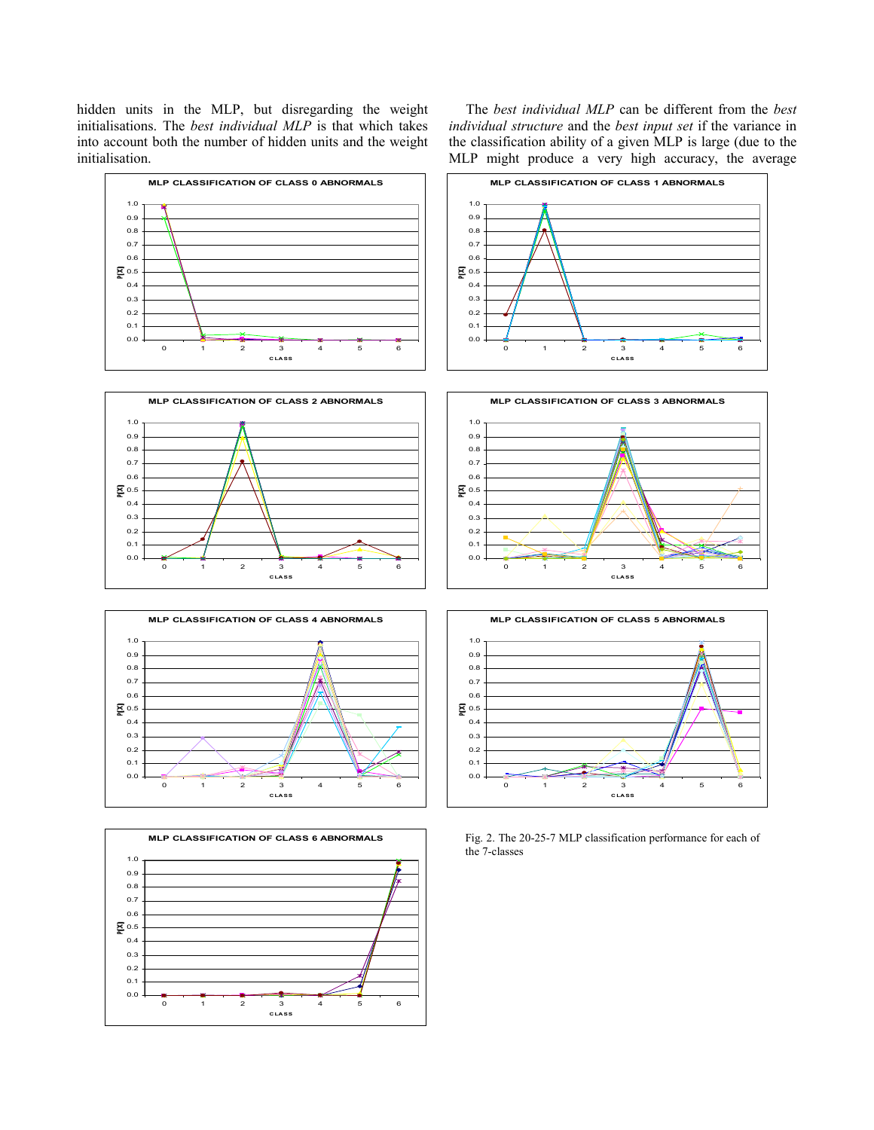hidden units in the MLP, but disregarding the weight initialisations. The *best individual MLP* is that which takes into account both the number of hidden units and the weight initialisation.

> 0.0 0.1 0.2 0.3 0.4 医0.5 0.6 0.7

0 1 2 3 4 5 6 **CLASS**

The *best individual MLP* can be different from the *best individual structure* and the *best input set* if the variance in the classification ability of a given MLP is large (due to the MLP might produce a very high accuracy, the average